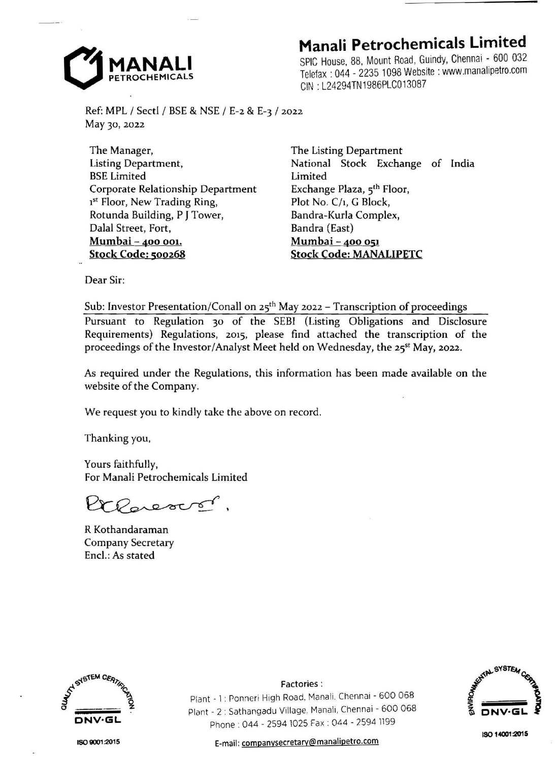

## **Manali Petrochemicals Limited**

SPIC House, 88, Mount Road, Guindy, Chennai - 600 032 Telefax : 044 - 2235 1098 Website : www.manalipetro.com GIN : L24294TN1986PLC013087

Ref: MPL / Sectl / BSE & NSE / E-2 & E-3 / 2022 May 30, 2022

The Manager, Listing Department, BSE Limited Corporate Relationship Department 1<sup>st</sup> Floor, New Trading Ring, Rotunda Building, P **J** Tower, Dalal Street, Fort, **Mumbai** - **400 001. Stock Code: 500268** 

The Listing Department National Stock Exchange of India Limited Exchange Plaza, 5<sup>th</sup> Floor, Plot No. C/1, G Block, Bandra-Kurla Complex, Bandra (East) **Mumbai-400 051 Stock Code: MANALIPETC** 

Dear Sir:

Sub: Investor Presentation/Conall on  $25<sup>th</sup>$  May 2022 - Transcription of proceedings Pursuant to Regulation 30 of the SEBI (Listing Obligations and Disclosure Requirements) Regulations, 2015, please find attached the transcription of the proceedings of the Investor/Analyst Meet held on Wednesday, the 25<sup>st</sup> May, 2022.

As required under the Regulations, this information has been made available on the website of the Company.

We request you to kindly take the above on record.

Thanking you,

Yours faithfully, For Manali Petrochemicals Limited

Claresons.

R Kothandaraman Company Secretary Encl.: As stated



ISO **9001 :2015** 

Plant • 1 : Ponneri High Road, Manali. Chennai - 600 068 Plant . 2: Sathangadu Village, Manali, Chennai - 600 068 Phone : 044 . 2594 1025 Fax : 044 - 2594 1199

Factories:



E-mail: companysecretary@manalipetro.com

**IS01-400120'!5**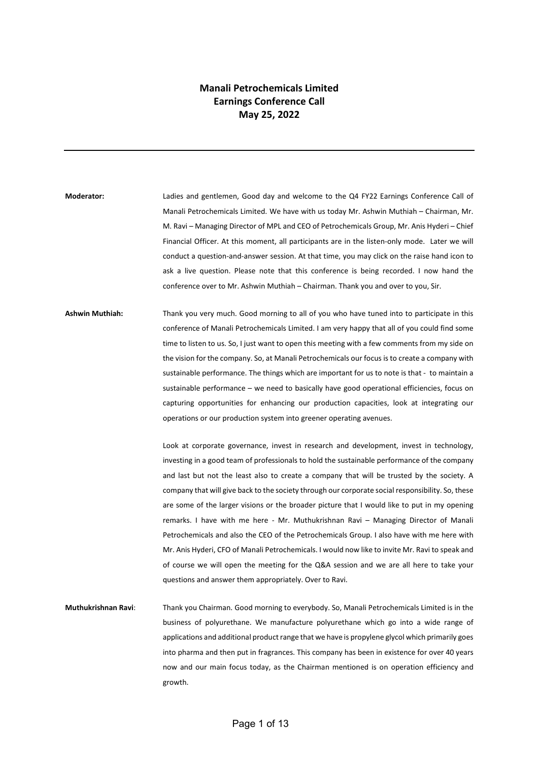## **Manali Petrochemicals Limited Earnings Conference Call May 25, 2022**

**Moderator:** Ladies and gentlemen, Good day and welcome to the Q4 FY22 Earnings Conference Call of Manali Petrochemicals Limited. We have with us today Mr. Ashwin Muthiah – Chairman, Mr. M. Ravi – Managing Director of MPL and CEO of Petrochemicals Group, Mr. Anis Hyderi – Chief Financial Officer. At this moment, all participants are in the listen-only mode. Later we will conduct a question-and-answer session. At that time, you may click on the raise hand icon to ask a live question. Please note that this conference is being recorded. I now hand the conference over to Mr. Ashwin Muthiah – Chairman. Thank you and over to you, Sir.

**Ashwin Muthiah:** Thank you very much. Good morning to all of you who have tuned into to participate in this conference of Manali Petrochemicals Limited. I am very happy that all of you could find some time to listen to us. So, I just want to open this meeting with a few comments from my side on the vision for the company. So, at Manali Petrochemicals our focus is to create a company with sustainable performance. The things which are important for us to note is that - to maintain a sustainable performance – we need to basically have good operational efficiencies, focus on capturing opportunities for enhancing our production capacities, look at integrating our operations or our production system into greener operating avenues.

> Look at corporate governance, invest in research and development, invest in technology, investing in a good team of professionals to hold the sustainable performance of the company and last but not the least also to create a company that will be trusted by the society. A company that will give back to the society through our corporate social responsibility. So, these are some of the larger visions or the broader picture that I would like to put in my opening remarks. I have with me here - Mr. Muthukrishnan Ravi – Managing Director of Manali Petrochemicals and also the CEO of the Petrochemicals Group. I also have with me here with Mr. Anis Hyderi, CFO of Manali Petrochemicals. I would now like to invite Mr. Ravi to speak and of course we will open the meeting for the Q&A session and we are all here to take your questions and answer them appropriately. Over to Ravi.

**Muthukrishnan Ravi**: Thank you Chairman. Good morning to everybody. So, Manali Petrochemicals Limited is in the business of polyurethane. We manufacture polyurethane which go into a wide range of applications and additional product range that we have is propylene glycol which primarily goes into pharma and then put in fragrances. This company has been in existence for over 40 years now and our main focus today, as the Chairman mentioned is on operation efficiency and growth.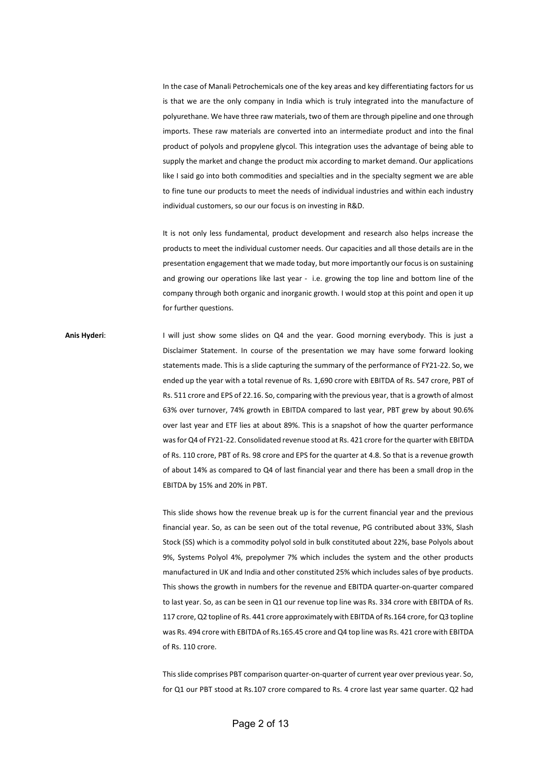In the case of Manali Petrochemicals one of the key areas and key differentiating factors for us is that we are the only company in India which is truly integrated into the manufacture of polyurethane. We have three raw materials, two of them are through pipeline and one through imports. These raw materials are converted into an intermediate product and into the final product of polyols and propylene glycol. This integration uses the advantage of being able to supply the market and change the product mix according to market demand. Our applications like I said go into both commodities and specialties and in the specialty segment we are able to fine tune our products to meet the needs of individual industries and within each industry individual customers, so our our focus is on investing in R&D.

It is not only less fundamental, product development and research also helps increase the products to meet the individual customer needs. Our capacities and all those details are in the presentation engagement that we made today, but more importantly our focus is on sustaining and growing our operations like last year - i.e. growing the top line and bottom line of the company through both organic and inorganic growth. I would stop at this point and open it up for further questions.

**Anis Hyderi**: I will just show some slides on Q4 and the year. Good morning everybody. This is just a Disclaimer Statement. In course of the presentation we may have some forward looking statements made. This is a slide capturing the summary of the performance of FY21-22. So, we ended up the year with a total revenue of Rs. 1,690 crore with EBITDA of Rs. 547 crore, PBT of Rs. 511 crore and EPS of 22.16. So, comparing with the previous year, that is a growth of almost 63% over turnover, 74% growth in EBITDA compared to last year, PBT grew by about 90.6% over last year and ETF lies at about 89%. This is a snapshot of how the quarter performance was for Q4 of FY21-22. Consolidated revenue stood at Rs. 421 crore forthe quarter with EBITDA of Rs. 110 crore, PBT of Rs. 98 crore and EPS for the quarter at 4.8. So that is a revenue growth of about 14% as compared to Q4 of last financial year and there has been a small drop in the EBITDA by 15% and 20% in PBT.

> This slide shows how the revenue break up is for the current financial year and the previous financial year. So, as can be seen out of the total revenue, PG contributed about 33%, Slash Stock (SS) which is a commodity polyol sold in bulk constituted about 22%, base Polyols about 9%, Systems Polyol 4%, prepolymer 7% which includes the system and the other products manufactured in UK and India and other constituted 25% which includes sales of bye products. This shows the growth in numbers for the revenue and EBITDA quarter-on-quarter compared to last year. So, as can be seen in Q1 our revenue top line was Rs. 334 crore with EBITDA of Rs. 117 crore, Q2 topline of Rs. 441 crore approximately with EBITDA of Rs.164 crore, for Q3 topline was Rs. 494 crore with EBITDA of Rs.165.45 crore and Q4 top line was Rs. 421 crore with EBITDA of Rs. 110 crore.

> This slide comprises PBT comparison quarter-on-quarter of current year over previous year. So, for Q1 our PBT stood at Rs.107 crore compared to Rs. 4 crore last year same quarter. Q2 had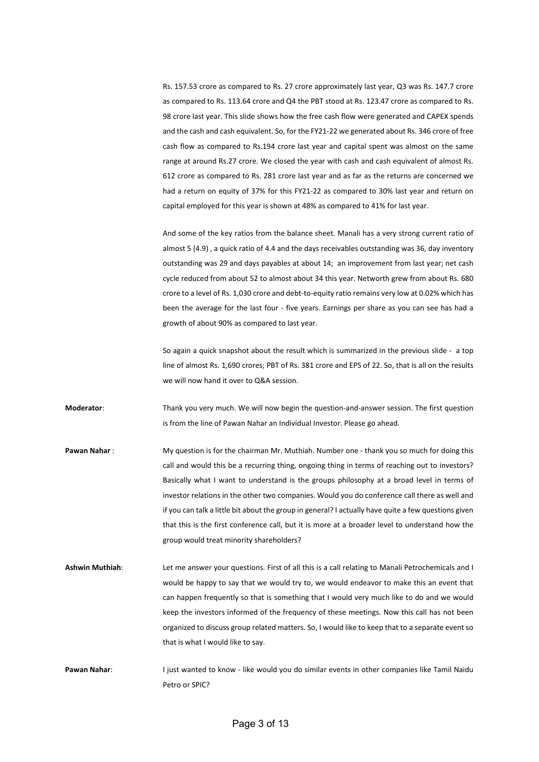Rs. 157.53 crore as compared to Rs. 27 crore approximately last year, Q3 was Rs. 147.7 crore as compared to Rs. 113.64 crore and Q4 the PBT stood at Rs. 123.47 crore as compared to Rs. 98 crore last year. This slide shows how the free cash flow were generated and CAPEX spends and the cash and cash equivalent. So, for the FY21-22 we generated about Rs. 346 crore of free cash flow as compared to Rs.194 crore last year and capital spent was almost on the same range at around Rs.27 crore. We closed the year with cash and cash equivalent of almost Rs. 612 crore as compared to Rs. 281 crore last year and as far as the returns are concerned we had a return on equity of 37% for this FY21-22 as compared to 30% last year and return on capital employed for this year is shown at 48% as compared to 41% for last year.

And some of the key ratios from the balance sheet. Manali has a very strong current ratio of almost 5 (4.9) , a quick ratio of 4.4 and the days receivables outstanding was 36, day inventory outstanding was 29 and days payables at about 14; an improvement from last year; net cash cycle reduced from about 52 to almost about 34 this year. Networth grew from about Rs. 680 crore to a level of Rs. 1,030 crore and debt-to-equity ratio remains very low at 0.02% which has been the average for the last four - five years. Earnings per share as you can see has had a growth of about 90% as compared to last year.

So again a quick snapshot about the result which is summarized in the previous slide - a top line of almost Rs. 1,690 crores; PBT of Rs. 381 crore and EPS of 22. So, that is all on the results we will now hand it over to Q&A session.

**Moderator**: Thank you very much. We will now begin the question-and-answer session. The first question is from the line of Pawan Nahar an Individual Investor. Please go ahead.

**Pawan Nahar** : My question is for the chairman Mr. Muthiah. Number one - thank you so much for doing this call and would this be a recurring thing, ongoing thing in terms of reaching out to investors? Basically what I want to understand is the groups philosophy at a broad level in terms of investor relations in the other two companies. Would you do conference call there as well and if you can talk a little bit about the group in general? I actually have quite a few questions given that this is the first conference call, but it is more at a broader level to understand how the group would treat minority shareholders?

- **Ashwin Muthiah**: Let me answer your questions. First of all this is a call relating to Manali Petrochemicals and I would be happy to say that we would try to, we would endeavor to make this an event that can happen frequently so that is something that I would very much like to do and we would keep the investors informed of the frequency of these meetings. Now this call has not been organized to discuss group related matters. So, I would like to keep that to a separate event so that is what I would like to say.
- Pawan Nahar: I just wanted to know like would you do similar events in other companies like Tamil Naidu Petro or SPIC?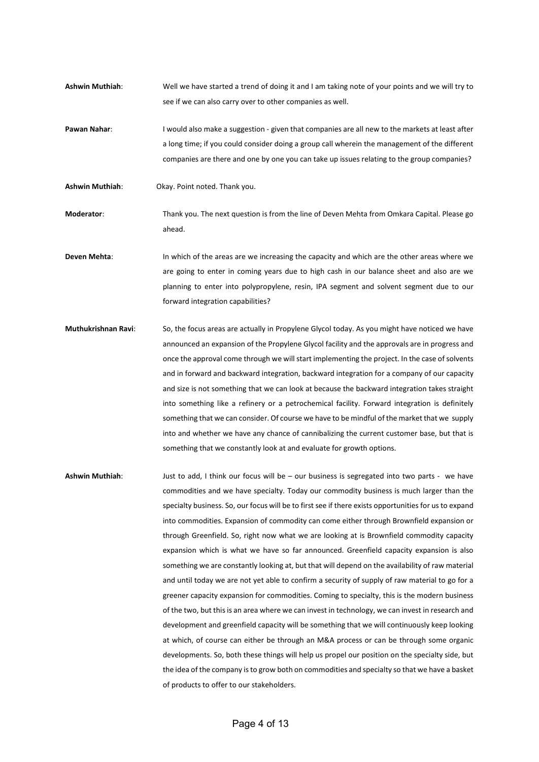- **Ashwin Muthiah**: Well we have started a trend of doing it and I am taking note of your points and we will try to see if we can also carry over to other companies as well.
- **Pawan Nahar:** I would also make a suggestion given that companies are all new to the markets at least after a long time; if you could consider doing a group call wherein the management of the different companies are there and one by one you can take up issues relating to the group companies?
- **Ashwin Muthiah**: Okay. Point noted. Thank you.
- **Moderator**: Thank you. The next question is from the line of Deven Mehta from Omkara Capital. Please go ahead.
- **Deven Mehta:** In which of the areas are we increasing the capacity and which are the other areas where we are going to enter in coming years due to high cash in our balance sheet and also are we planning to enter into polypropylene, resin, IPA segment and solvent segment due to our forward integration capabilities?
- **Muthukrishnan Ravi**: So, the focus areas are actually in Propylene Glycol today. As you might have noticed we have announced an expansion of the Propylene Glycol facility and the approvals are in progress and once the approval come through we will start implementing the project. In the case of solvents and in forward and backward integration, backward integration for a company of our capacity and size is not something that we can look at because the backward integration takes straight into something like a refinery or a petrochemical facility. Forward integration is definitely something that we can consider. Of course we have to be mindful of the market that we supply into and whether we have any chance of cannibalizing the current customer base, but that is something that we constantly look at and evaluate for growth options.
- **Ashwin Muthiah**: Just to add, I think our focus will be our business is segregated into two parts we have commodities and we have specialty. Today our commodity business is much larger than the specialty business. So, our focus will be to first see if there exists opportunities for us to expand into commodities. Expansion of commodity can come either through Brownfield expansion or through Greenfield. So, right now what we are looking at is Brownfield commodity capacity expansion which is what we have so far announced. Greenfield capacity expansion is also something we are constantly looking at, but that will depend on the availability of raw material and until today we are not yet able to confirm a security of supply of raw material to go for a greener capacity expansion for commodities. Coming to specialty, this is the modern business of the two, but this is an area where we can invest in technology, we can invest in research and development and greenfield capacity will be something that we will continuously keep looking at which, of course can either be through an M&A process or can be through some organic developments. So, both these things will help us propel our position on the specialty side, but the idea of the company is to grow both on commodities and specialty so that we have a basket of products to offer to our stakeholders.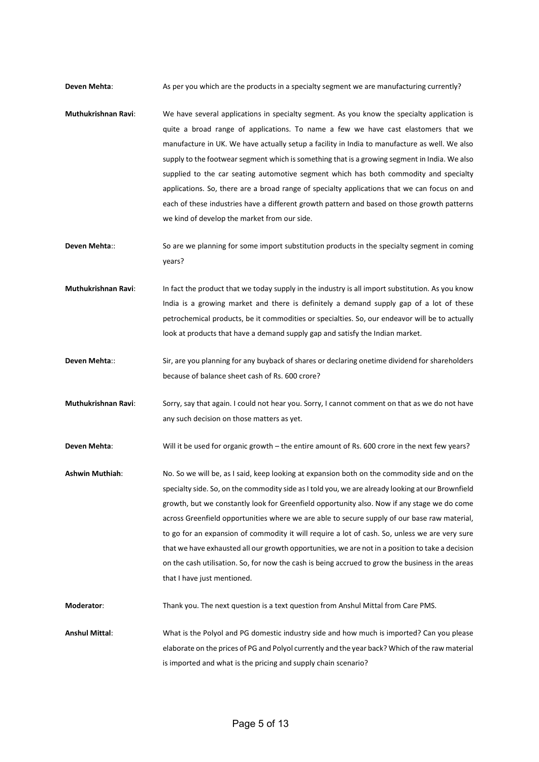**Deven Mehta:** As per you which are the products in a specialty segment we are manufacturing currently?

- **Muthukrishnan Ravi**: We have several applications in specialty segment. As you know the specialty application is quite a broad range of applications. To name a few we have cast elastomers that we manufacture in UK. We have actually setup a facility in India to manufacture as well. We also supply to the footwear segment which is something that is a growing segment in India. We also supplied to the car seating automotive segment which has both commodity and specialty applications. So, there are a broad range of specialty applications that we can focus on and each of these industries have a different growth pattern and based on those growth patterns we kind of develop the market from our side.
- **Deven Mehta::** So are we planning for some import substitution products in the specialty segment in coming years?
- **Muthukrishnan Ravi**: In fact the product that we today supply in the industry is all import substitution. As you know India is a growing market and there is definitely a demand supply gap of a lot of these petrochemical products, be it commodities or specialties. So, our endeavor will be to actually look at products that have a demand supply gap and satisfy the Indian market.
- **Deven Mehta**:: Sir, are you planning for any buyback of shares or declaring onetime dividend for shareholders because of balance sheet cash of Rs. 600 crore?
- **Muthukrishnan Ravi**: Sorry, say that again. I could not hear you. Sorry, I cannot comment on that as we do not have any such decision on those matters as yet.

Deven Mehta: Will it be used for organic growth – the entire amount of Rs. 600 crore in the next few years?

**Ashwin Muthiah**: No. So we will be, as I said, keep looking at expansion both on the commodity side and on the specialty side. So, on the commodity side as I told you, we are already looking at our Brownfield growth, but we constantly look for Greenfield opportunity also. Now if any stage we do come across Greenfield opportunities where we are able to secure supply of our base raw material, to go for an expansion of commodity it will require a lot of cash. So, unless we are very sure that we have exhausted all our growth opportunities, we are not in a position to take a decision on the cash utilisation. So, for now the cash is being accrued to grow the business in the areas that I have just mentioned.

**Moderator**: Thank you. The next question is a text question from Anshul Mittal from Care PMS.

**Anshul Mittal**: What is the Polyol and PG domestic industry side and how much is imported? Can you please elaborate on the prices of PG and Polyol currently and the year back? Which of the raw material is imported and what is the pricing and supply chain scenario?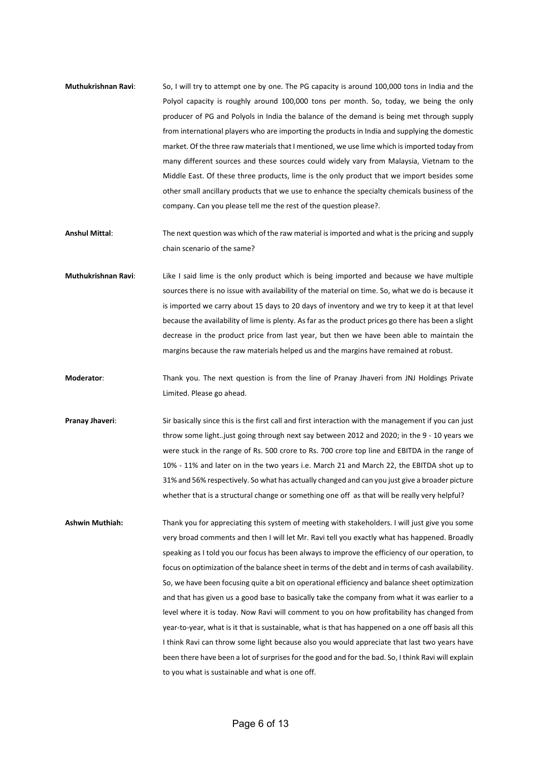- **Muthukrishnan Ravi**: So, I will try to attempt one by one. The PG capacity is around 100,000 tons in India and the Polyol capacity is roughly around 100,000 tons per month. So, today, we being the only producer of PG and Polyols in India the balance of the demand is being met through supply from international players who are importing the products in India and supplying the domestic market. Of the three raw materials that I mentioned, we use lime which is imported today from many different sources and these sources could widely vary from Malaysia, Vietnam to the Middle East. Of these three products, lime is the only product that we import besides some other small ancillary products that we use to enhance the specialty chemicals business of the company. Can you please tell me the rest of the question please?.
- **Anshul Mittal**: The next question was which of the raw material is imported and what is the pricing and supply chain scenario of the same?
- **Muthukrishnan Ravi**: Like I said lime is the only product which is being imported and because we have multiple sources there is no issue with availability of the material on time. So, what we do is because it is imported we carry about 15 days to 20 days of inventory and we try to keep it at that level because the availability of lime is plenty. As far as the product prices go there has been a slight decrease in the product price from last year, but then we have been able to maintain the margins because the raw materials helped us and the margins have remained at robust.
- **Moderator**: Thank you. The next question is from the line of Pranay Jhaveri from JNJ Holdings Private Limited. Please go ahead.
- **Pranay Jhaveri**: Sir basically since this is the first call and first interaction with the management if you can just throw some light..just going through next say between 2012 and 2020; in the 9 - 10 years we were stuck in the range of Rs. 500 crore to Rs. 700 crore top line and EBITDA in the range of 10% - 11% and later on in the two years i.e. March 21 and March 22, the EBITDA shot up to 31% and 56% respectively. So what has actually changed and can you just give a broader picture whether that is a structural change or something one off as that will be really very helpful?
- **Ashwin Muthiah:** Thank you for appreciating this system of meeting with stakeholders. I will just give you some very broad comments and then I will let Mr. Ravi tell you exactly what has happened. Broadly speaking as I told you our focus has been always to improve the efficiency of our operation, to focus on optimization of the balance sheet in terms of the debt and in terms of cash availability. So, we have been focusing quite a bit on operational efficiency and balance sheet optimization and that has given us a good base to basically take the company from what it was earlier to a level where it is today. Now Ravi will comment to you on how profitability has changed from year-to-year, what is it that is sustainable, what is that has happened on a one off basis all this I think Ravi can throw some light because also you would appreciate that last two years have been there have been a lot of surprises for the good and for the bad. So, I think Ravi will explain to you what is sustainable and what is one off.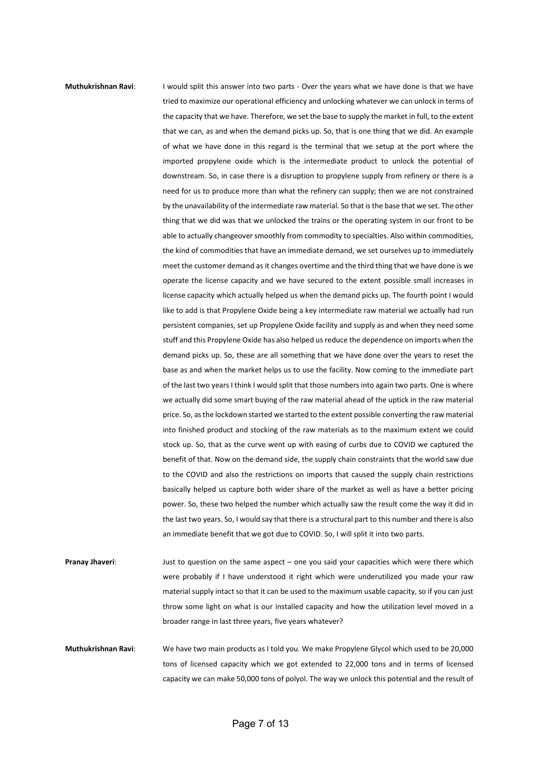## **Muthukrishnan Ravi:** I would split this answer into two parts - Over the years what we have done is that we have tried to maximize our operational efficiency and unlocking whatever we can unlock in terms of the capacity that we have. Therefore, we set the base to supply the market in full, to the extent that we can, as and when the demand picks up. So, that is one thing that we did. An example of what we have done in this regard is the terminal that we setup at the port where the imported propylene oxide which is the intermediate product to unlock the potential of downstream. So, in case there is a disruption to propylene supply from refinery or there is a need for us to produce more than what the refinery can supply; then we are not constrained by the unavailability of the intermediate raw material. So that is the base that we set. The other thing that we did was that we unlocked the trains or the operating system in our front to be able to actually changeover smoothly from commodity to specialties. Also within commodities, the kind of commodities that have an immediate demand, we set ourselves up to immediately meet the customer demand as it changes overtime and the third thing that we have done is we operate the license capacity and we have secured to the extent possible small increases in license capacity which actually helped us when the demand picks up. The fourth point I would like to add is that Propylene Oxide being a key intermediate raw material we actually had run persistent companies, set up Propylene Oxide facility and supply as and when they need some stuff and this Propylene Oxide has also helped us reduce the dependence on imports when the demand picks up. So, these are all something that we have done over the years to reset the base as and when the market helps us to use the facility. Now coming to the immediate part of the last two years I think I would split that those numbers into again two parts. One is where we actually did some smart buying of the raw material ahead of the uptick in the raw material price. So, as the lockdown started we started to the extent possible converting the raw material into finished product and stocking of the raw materials as to the maximum extent we could stock up. So, that as the curve went up with easing of curbs due to COVID we captured the

power. So, these two helped the number which actually saw the result come the way it did in the last two years. So, I would say that there is a structural part to this number and there is also an immediate benefit that we got due to COVID. So, I will split it into two parts. Pranay Jhaveri: Just to question on the same aspect – one you said your capacities which were there which were probably if I have understood it right which were underutilized you made your raw material supply intact so that it can be used to the maximum usable capacity, so if you can just

benefit of that. Now on the demand side, the supply chain constraints that the world saw due to the COVID and also the restrictions on imports that caused the supply chain restrictions basically helped us capture both wider share of the market as well as have a better pricing

throw some light on what is our installed capacity and how the utilization level moved in a

**Muthukrishnan Ravi**: We have two main products as I told you. We make Propylene Glycol which used to be 20,000 tons of licensed capacity which we got extended to 22,000 tons and in terms of licensed capacity we can make 50,000 tons of polyol. The way we unlock this potential and the result of

broader range in last three years, five years whatever?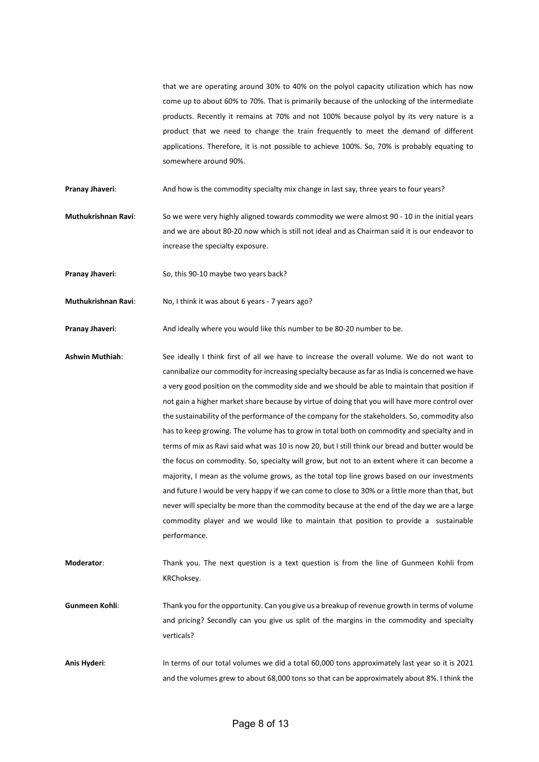that we are operating around 30% to 40% on the polyol capacity utilization which has now come up to about 60% to 70%. That is primarily because of the unlocking of the intermediate products. Recently it remains at 70% and not 100% because polyol by its very nature is a product that we need to change the train frequently to meet the demand of different applications. Therefore, it is not possible to achieve 100%. So, 70% is probably equating to somewhere around 90%.

**Pranay Jhaveri:** And how is the commodity specialty mix change in last say, three years to four years?

**Muthukrishnan Ravi**: So we were very highly aligned towards commodity we were almost 90 - 10 in the initial years and we are about 80-20 now which is still not ideal and as Chairman said it is our endeavor to increase the specialty exposure.

**Pranay Jhaveri:** So, this 90-10 maybe two years back?

**Muthukrishnan Ravi:** No, I think it was about 6 years - 7 years ago?

**Pranay Jhaveri:** And ideally where you would like this number to be 80-20 number to be.

**Ashwin Muthiah**: See ideally I think first of all we have to increase the overall volume. We do not want to cannibalize our commodity for increasing specialty because as far as India is concerned we have a very good position on the commodity side and we should be able to maintain that position if not gain a higher market share because by virtue of doing that you will have more control over the sustainability of the performance of the company for the stakeholders. So, commodity also has to keep growing. The volume has to grow in total both on commodity and specialty and in terms of mix as Ravi said what was 10 is now 20, but I still think our bread and butter would be the focus on commodity. So, specialty will grow, but not to an extent where it can become a majority, I mean as the volume grows, as the total top line grows based on our investments and future I would be very happy if we can come to close to 30% or a little more than that, but never will specialty be more than the commodity because at the end of the day we are a large commodity player and we would like to maintain that position to provide a sustainable performance.

**Moderator**: Thank you. The next question is a text question is from the line of Gunmeen Kohli from KRChoksey.

**Gunmeen Kohli**: Thank you for the opportunity. Can you give us a breakup of revenue growth in terms of volume and pricing? Secondly can you give us split of the margins in the commodity and specialty verticals?

**Anis Hyderi**: In terms of our total volumes we did a total 60,000 tons approximately last year so it is 2021 and the volumes grew to about 68,000 tons so that can be approximately about 8%. I think the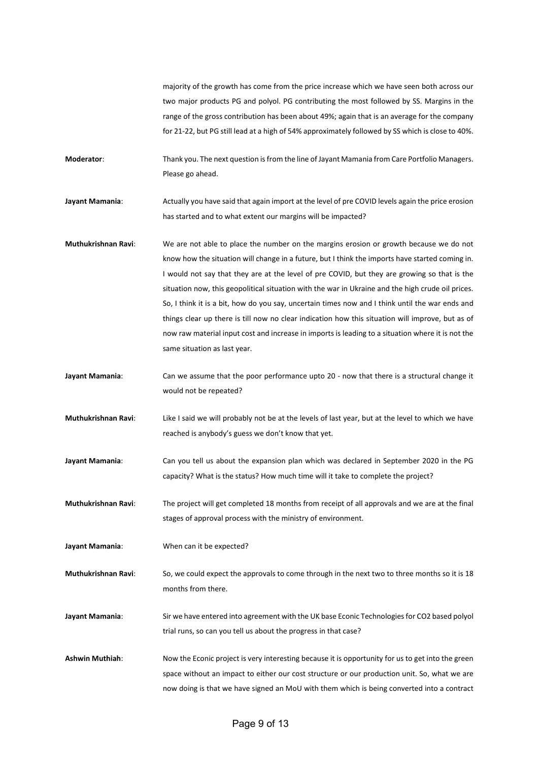majority of the growth has come from the price increase which we have seen both across our two major products PG and polyol. PG contributing the most followed by SS. Margins in the range of the gross contribution has been about 49%; again that is an average for the company for 21-22, but PG still lead at a high of 54% approximately followed by SS which is close to 40%.

**Moderator**: Thank you. The next question is from the line of Jayant Mamania from Care Portfolio Managers. Please go ahead.

**Jayant Mamania**: Actually you have said that again import at the level of pre COVID levels again the price erosion has started and to what extent our margins will be impacted?

**Muthukrishnan Ravi**: We are not able to place the number on the margins erosion or growth because we do not know how the situation will change in a future, but I think the imports have started coming in. I would not say that they are at the level of pre COVID, but they are growing so that is the situation now, this geopolitical situation with the war in Ukraine and the high crude oil prices. So, I think it is a bit, how do you say, uncertain times now and I think until the war ends and things clear up there is till now no clear indication how this situation will improve, but as of now raw material input cost and increase in imports is leading to a situation where it is not the same situation as last year.

- **Jayant Mamania:** Can we assume that the poor performance upto 20 now that there is a structural change it would not be repeated?
- **Muthukrishnan Ravi**: Like I said we will probably not be at the levels of last year, but at the level to which we have reached is anybody's guess we don't know that yet.
- Jayant Mamania: Can you tell us about the expansion plan which was declared in September 2020 in the PG capacity? What is the status? How much time will it take to complete the project?

**Muthukrishnan Ravi**: The project will get completed 18 months from receipt of all approvals and we are at the final stages of approval process with the ministry of environment.

**Jayant Mamania**: When can it be expected?

**Muthukrishnan Ravi**: So, we could expect the approvals to come through in the next two to three months so it is 18 months from there.

**Jayant Mamania**: Sir we have entered into agreement with the UK base Econic Technologies for CO2 based polyol trial runs, so can you tell us about the progress in that case?

**Ashwin Muthiah**: Now the Econic project is very interesting because it is opportunity for us to get into the green space without an impact to either our cost structure or our production unit. So, what we are now doing is that we have signed an MoU with them which is being converted into a contract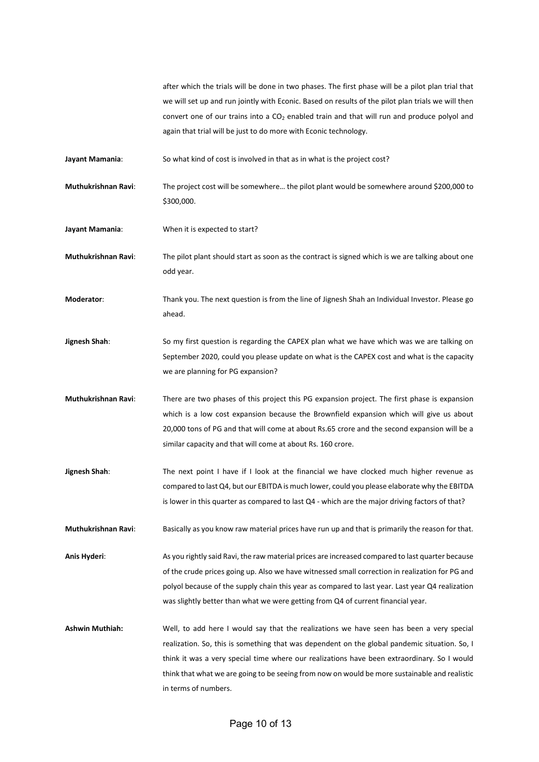after which the trials will be done in two phases. The first phase will be a pilot plan trial that we will set up and run jointly with Econic. Based on results of the pilot plan trials we will then convert one of our trains into a  $CO<sub>2</sub>$  enabled train and that will run and produce polyol and again that trial will be just to do more with Econic technology.

**Jayant Mamania**: So what kind of cost is involved in that as in what is the project cost?

**Muthukrishnan Ravi**: The project cost will be somewhere… the pilot plant would be somewhere around \$200,000 to \$300,000.

**Jayant Mamania**: When it is expected to start?

**Muthukrishnan Ravi**: The pilot plant should start as soon as the contract is signed which is we are talking about one odd year.

**Moderator**: Thank you. The next question is from the line of Jignesh Shah an Individual Investor. Please go ahead.

**Jignesh Shah**: So my first question is regarding the CAPEX plan what we have which was we are talking on September 2020, could you please update on what is the CAPEX cost and what is the capacity we are planning for PG expansion?

**Muthukrishnan Ravi**: There are two phases of this project this PG expansion project. The first phase is expansion which is a low cost expansion because the Brownfield expansion which will give us about 20,000 tons of PG and that will come at about Rs.65 crore and the second expansion will be a similar capacity and that will come at about Rs. 160 crore.

**Jignesh Shah**: The next point I have if I look at the financial we have clocked much higher revenue as compared to last Q4, but our EBITDA is much lower, could you please elaborate why the EBITDA is lower in this quarter as compared to last Q4 - which are the major driving factors of that?

**Muthukrishnan Ravi**: Basically as you know raw material prices have run up and that is primarily the reason for that.

**Anis Hyderi**: As you rightly said Ravi, the raw material prices are increased compared to last quarter because of the crude prices going up. Also we have witnessed small correction in realization for PG and polyol because of the supply chain this year as compared to last year. Last year Q4 realization was slightly better than what we were getting from Q4 of current financial year.

**Ashwin Muthiah:** Well, to add here I would say that the realizations we have seen has been a very special realization. So, this is something that was dependent on the global pandemic situation. So, I think it was a very special time where our realizations have been extraordinary. So I would think that what we are going to be seeing from now on would be more sustainable and realistic in terms of numbers.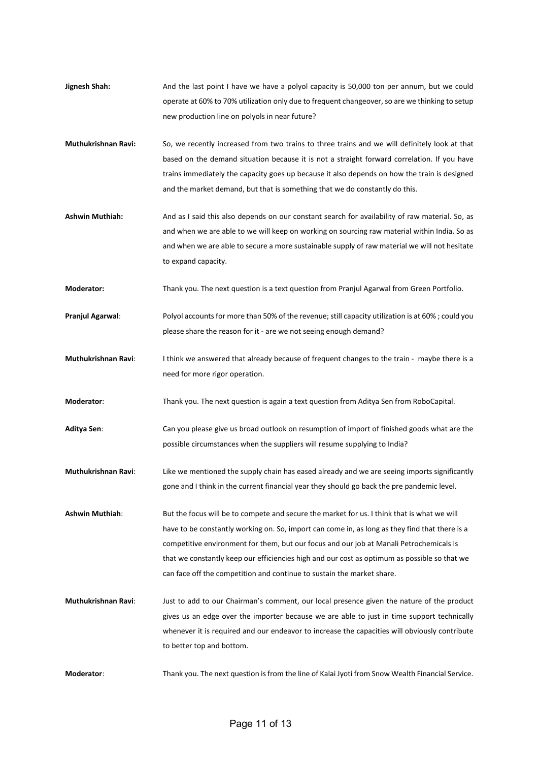- **Jignesh Shah:** And the last point I have we have a polyol capacity is 50,000 ton per annum, but we could operate at 60% to 70% utilization only due to frequent changeover, so are we thinking to setup new production line on polyols in near future?
- **Muthukrishnan Ravi:** So, we recently increased from two trains to three trains and we will definitely look at that based on the demand situation because it is not a straight forward correlation. If you have trains immediately the capacity goes up because it also depends on how the train is designed and the market demand, but that is something that we do constantly do this.
- **Ashwin Muthiah:** And as I said this also depends on our constant search for availability of raw material. So, as and when we are able to we will keep on working on sourcing raw material within India. So as and when we are able to secure a more sustainable supply of raw material we will not hesitate to expand capacity.
- **Moderator:** Thank you. The next question is a text question from Pranjul Agarwal from Green Portfolio.
- **Pranjul Agarwal:** Polyol accounts for more than 50% of the revenue; still capacity utilization is at 60%; could you please share the reason for it - are we not seeing enough demand?
- **Muthukrishnan Ravi**: I think we answered that already because of frequent changes to the train maybe there is a need for more rigor operation.
- **Moderator**: Thank you. The next question is again a text question from Aditya Sen from RoboCapital.
- **Aditya Sen**: Can you please give us broad outlook on resumption of import of finished goods what are the possible circumstances when the suppliers will resume supplying to India?
- **Muthukrishnan Ravi**: Like we mentioned the supply chain has eased already and we are seeing imports significantly gone and I think in the current financial year they should go back the pre pandemic level.
- **Ashwin Muthiah**: But the focus will be to compete and secure the market for us. I think that is what we will have to be constantly working on. So, import can come in, as long as they find that there is a competitive environment for them, but our focus and our job at Manali Petrochemicals is that we constantly keep our efficiencies high and our cost as optimum as possible so that we can face off the competition and continue to sustain the market share.
- **Muthukrishnan Ravi**: Just to add to our Chairman's comment, our local presence given the nature of the product gives us an edge over the importer because we are able to just in time support technically whenever it is required and our endeavor to increase the capacities will obviously contribute to better top and bottom.
- **Moderator**: Thank you. The next question is from the line of Kalai Jyoti from Snow Wealth Financial Service.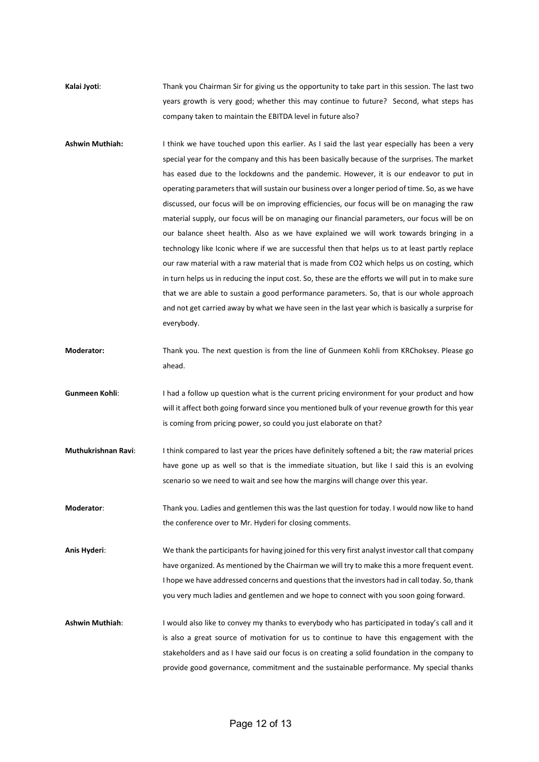**Kalai Jyoti**: Thank you Chairman Sir for giving us the opportunity to take part in this session. The last two years growth is very good; whether this may continue to future? Second, what steps has company taken to maintain the EBITDA level in future also?

- **Ashwin Muthiah:** I think we have touched upon this earlier. As I said the last year especially has been a very special year for the company and this has been basically because of the surprises. The market has eased due to the lockdowns and the pandemic. However, it is our endeavor to put in operating parameters that will sustain our business over a longer period of time. So, as we have discussed, our focus will be on improving efficiencies, our focus will be on managing the raw material supply, our focus will be on managing our financial parameters, our focus will be on our balance sheet health. Also as we have explained we will work towards bringing in a technology like Iconic where if we are successful then that helps us to at least partly replace our raw material with a raw material that is made from CO2 which helps us on costing, which in turn helps us in reducing the input cost. So, these are the efforts we will put in to make sure that we are able to sustain a good performance parameters. So, that is our whole approach and not get carried away by what we have seen in the last year which is basically a surprise for everybody.
- **Moderator:** Thank you. The next question is from the line of Gunmeen Kohli from KRChoksey. Please go ahead.
- **Gunmeen Kohli:** I had a follow up question what is the current pricing environment for your product and how will it affect both going forward since you mentioned bulk of your revenue growth for this year is coming from pricing power, so could you just elaborate on that?
- **Muthukrishnan Ravi**: I think compared to last year the prices have definitely softened a bit; the raw material prices have gone up as well so that is the immediate situation, but like I said this is an evolving scenario so we need to wait and see how the margins will change over this year.
- **Moderator**: Thank you. Ladies and gentlemen this was the last question for today. I would now like to hand the conference over to Mr. Hyderi for closing comments.

**Anis Hyderi**: We thank the participants for having joined for this very first analyst investor call that company have organized. As mentioned by the Chairman we will try to make this a more frequent event. I hope we have addressed concerns and questions that the investors had in call today. So, thank you very much ladies and gentlemen and we hope to connect with you soon going forward.

**Ashwin Muthiah**: I would also like to convey my thanks to everybody who has participated in today's call and it is also a great source of motivation for us to continue to have this engagement with the stakeholders and as I have said our focus is on creating a solid foundation in the company to provide good governance, commitment and the sustainable performance. My special thanks